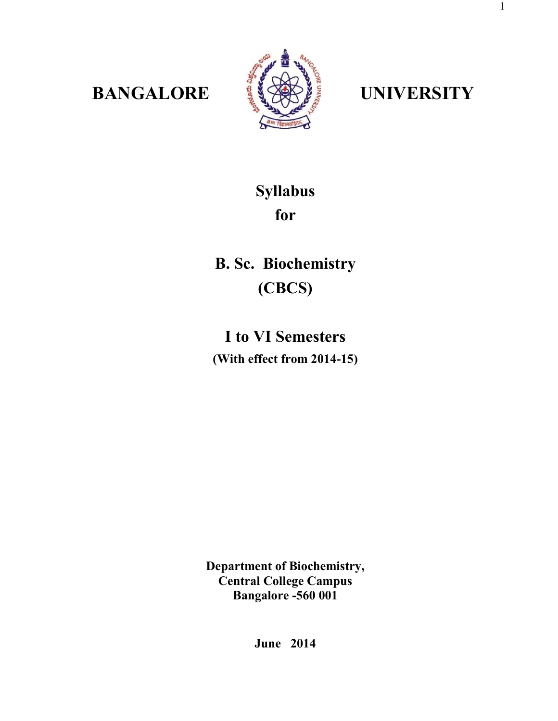

**BANGALORE <b>SEE UNIVERSITY** 

1

# **Syllabus for**

**B. Sc. Biochemistry (CBCS)** 

**I to VI Semesters (With effect from 2014-15)** 

**Department of Biochemistry, Central College Campus Bangalore -560 001** 

**June 2014**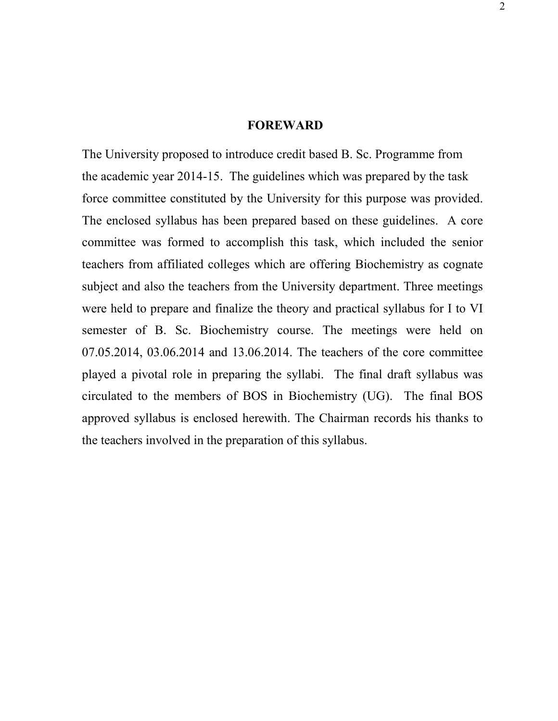# **FOREWARD**

The University proposed to introduce credit based B. Sc. Programme from the academic year 2014-15. The guidelines which was prepared by the task force committee constituted by the University for this purpose was provided. The enclosed syllabus has been prepared based on these guidelines. A core committee was formed to accomplish this task, which included the senior teachers from affiliated colleges which are offering Biochemistry as cognate subject and also the teachers from the University department. Three meetings were held to prepare and finalize the theory and practical syllabus for I to VI semester of B. Sc. Biochemistry course. The meetings were held on 07.05.2014, 03.06.2014 and 13.06.2014. The teachers of the core committee played a pivotal role in preparing the syllabi. The final draft syllabus was circulated to the members of BOS in Biochemistry (UG). The final BOS approved syllabus is enclosed herewith. The Chairman records his thanks to the teachers involved in the preparation of this syllabus.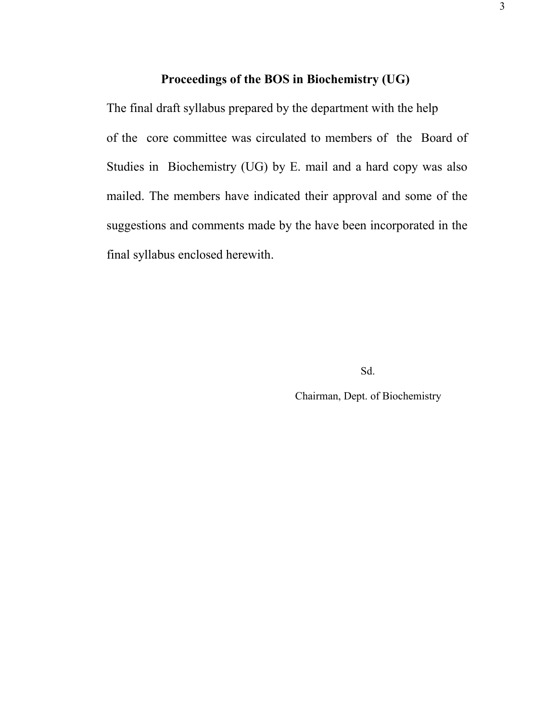# **Proceedings of the BOS in Biochemistry (UG)**

The final draft syllabus prepared by the department with the help of the core committee was circulated to members of the Board of Studies in Biochemistry (UG) by E. mail and a hard copy was also mailed. The members have indicated their approval and some of the suggestions and comments made by the have been incorporated in the final syllabus enclosed herewith.

Sd.

Chairman, Dept. of Biochemistry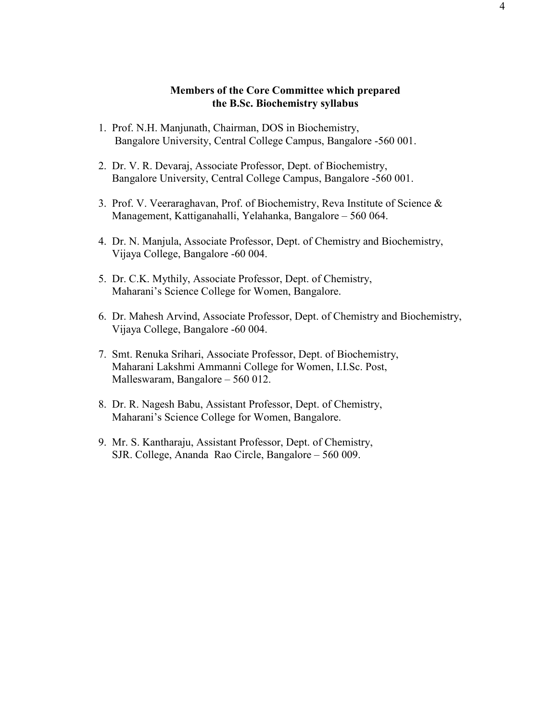## **Members of the Core Committee which prepared the B.Sc. Biochemistry syllabus**

- 1. Prof. N.H. Manjunath, Chairman, DOS in Biochemistry, Bangalore University, Central College Campus, Bangalore -560 001.
- 2. Dr. V. R. Devaraj, Associate Professor, Dept. of Biochemistry, Bangalore University, Central College Campus, Bangalore -560 001.
- 3. Prof. V. Veeraraghavan, Prof. of Biochemistry, Reva Institute of Science & Management, Kattiganahalli, Yelahanka, Bangalore – 560 064.
- 4. Dr. N. Manjula, Associate Professor, Dept. of Chemistry and Biochemistry, Vijaya College, Bangalore -60 004.
- 5. Dr. C.K. Mythily, Associate Professor, Dept. of Chemistry, Maharani's Science College for Women, Bangalore.
- 6. Dr. Mahesh Arvind, Associate Professor, Dept. of Chemistry and Biochemistry, Vijaya College, Bangalore -60 004.
- 7. Smt. Renuka Srihari, Associate Professor, Dept. of Biochemistry, Maharani Lakshmi Ammanni College for Women, I.I.Sc. Post, Malleswaram, Bangalore – 560 012.
- 8. Dr. R. Nagesh Babu, Assistant Professor, Dept. of Chemistry, Maharani's Science College for Women, Bangalore.
- 9. Mr. S. Kantharaju, Assistant Professor, Dept. of Chemistry, SJR. College, Ananda Rao Circle, Bangalore – 560 009.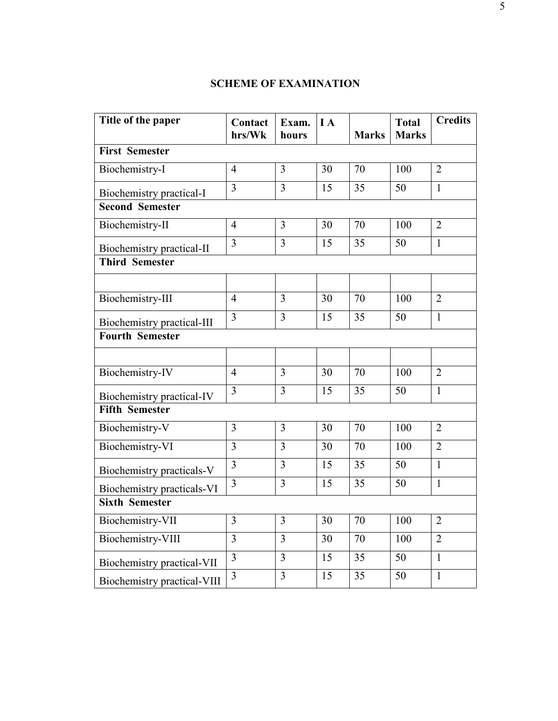# **SCHEME OF EXAMINATION**

| Title of the paper          | Contact        | Exam.          | I A             |                 | <b>Total</b>    | <b>Credits</b> |
|-----------------------------|----------------|----------------|-----------------|-----------------|-----------------|----------------|
|                             | hrs/Wk         | hours          |                 | <b>Marks</b>    | <b>Marks</b>    |                |
| <b>First Semester</b>       |                |                |                 |                 |                 |                |
| Biochemistry-I              | $\overline{4}$ | $\overline{3}$ | 30              | 70              | 100             | $\overline{2}$ |
| Biochemistry practical-I    | $\overline{3}$ | $\overline{3}$ | 15              | 35              | 50              | $\mathbf{1}$   |
| <b>Second Semester</b>      |                |                |                 |                 |                 |                |
| Biochemistry-II             | $\overline{4}$ | $\overline{3}$ | 30              | 70              | 100             | $\overline{2}$ |
| Biochemistry practical-II   | $\overline{3}$ | $\overline{3}$ | 15              | 35              | 50              | $\mathbf{1}$   |
| <b>Third Semester</b>       |                |                |                 |                 |                 |                |
|                             |                |                |                 |                 |                 |                |
| Biochemistry-III            | $\overline{4}$ | $\overline{3}$ | $\overline{30}$ | $\overline{70}$ | 100             | $\overline{2}$ |
| Biochemistry practical-III  | 3              | $\overline{3}$ | 15              | 35              | 50              | $\mathbf{1}$   |
| <b>Fourth Semester</b>      |                |                |                 |                 |                 |                |
|                             |                |                |                 |                 |                 |                |
| Biochemistry-IV             | $\overline{4}$ | $\overline{3}$ | 30              | 70              | 100             | $\overline{2}$ |
| Biochemistry practical-IV   | $\overline{3}$ | 3              | 15              | 35              | 50              | $\mathbf{1}$   |
| <b>Fifth Semester</b>       |                |                |                 |                 |                 |                |
| Biochemistry-V              | $\overline{3}$ | $\overline{3}$ | 30              | $\overline{70}$ | 100             | $\overline{2}$ |
| Biochemistry-VI             | $\overline{3}$ | $\overline{3}$ | 30              | 70              | 100             | $\overline{2}$ |
| Biochemistry practicals-V   | $\overline{3}$ | $\overline{3}$ | $\overline{15}$ | $\overline{35}$ | $\overline{50}$ | $\overline{1}$ |
| Biochemistry practicals-VI  | $\overline{3}$ | $\overline{3}$ | 15              | 35              | 50              | $\mathbf{1}$   |
| <b>Sixth Semester</b>       |                |                |                 |                 |                 |                |
| Biochemistry-VII            | $\overline{3}$ | $\overline{3}$ | 30              | 70              | 100             | $\overline{2}$ |
| Biochemistry-VIII           | $\overline{3}$ | $\overline{3}$ | 30              | 70              | 100             | $\overline{2}$ |
| Biochemistry practical-VII  | $\overline{3}$ | $\overline{3}$ | 15              | 35              | 50              | $\mathbf{1}$   |
| Biochemistry practical-VIII | $\overline{3}$ | $\overline{3}$ | $\overline{15}$ | $\overline{35}$ | $\overline{50}$ | $\mathbf{1}$   |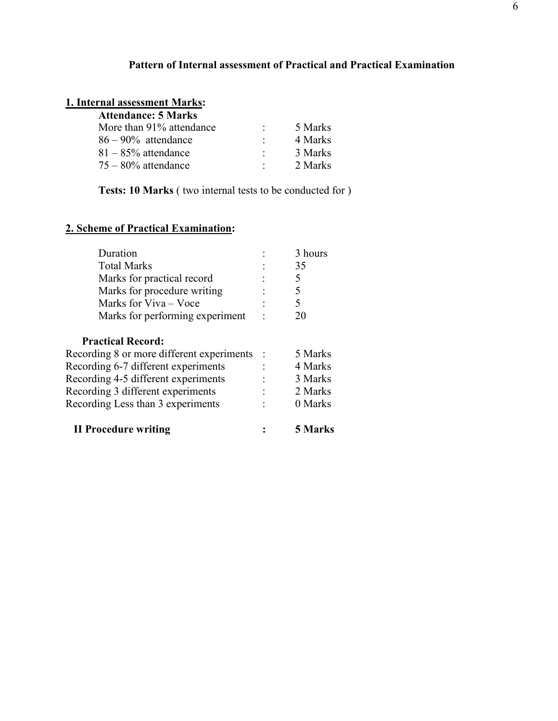# **Pattern of Internal assessment of Practical and Practical Examination**

#### **1. Internal assessment Marks:**

| <b>Attendance: 5 Marks</b> |         |         |
|----------------------------|---------|---------|
| More than 91% attendance   |         | 5 Marks |
| $86 - 90\%$ attendance     |         | 4 Marks |
| $81 - 85\%$ attendance     | $\cdot$ | 3 Marks |
| $75 - 80\%$ attendance     |         | 2 Marks |

**Tests: 10 Marks** ( two internal tests to be conducted for )

# **2. Scheme of Practical Examination:**

| Duration                        | 3 hours |
|---------------------------------|---------|
| <b>Total Marks</b>              | 35      |
| Marks for practical record      |         |
| Marks for procedure writing     |         |
| Marks for Viva – Voce           |         |
| Marks for performing experiment | 20      |

# **Practical Record:**

| <b>II Procedure writing</b>               | $\mathbb{R}$ | 5 Marks |
|-------------------------------------------|--------------|---------|
| Recording Less than 3 experiments         |              | 0 Marks |
| Recording 3 different experiments         | ÷            | 2 Marks |
| Recording 4-5 different experiments       |              | 3 Marks |
| Recording 6-7 different experiments       |              | 4 Marks |
| Recording 8 or more different experiments |              | 5 Marks |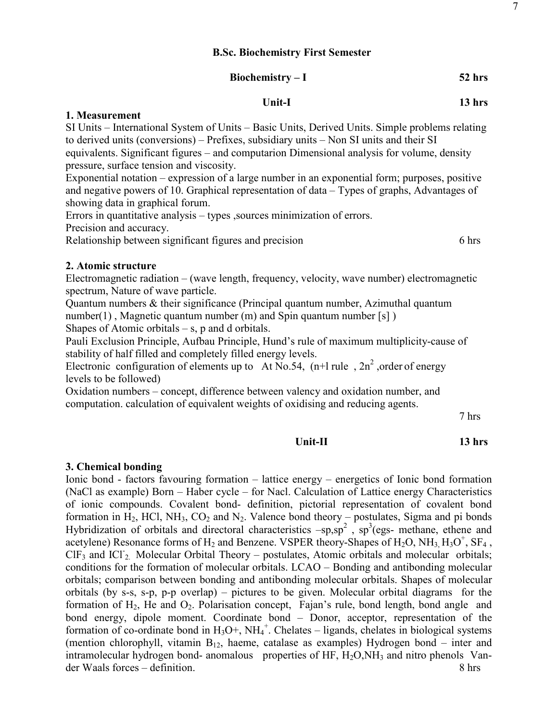# **Unit-I 13 hrs**

### **1. Measurement**

SI Units – International System of Units – Basic Units, Derived Units. Simple problems relating to derived units (conversions) – Prefixes, subsidiary units – Non SI units and their SI equivalents. Significant figures – and computarion Dimensional analysis for volume, density pressure, surface tension and viscosity.

Exponential notation – expression of a large number in an exponential form; purposes, positive and negative powers of 10. Graphical representation of data – Types of graphs, Advantages of showing data in graphical forum.

Errors in quantitative analysis – types ,sources minimization of errors.

Precision and accuracy.

Relationship between significant figures and precision 6 hrs

# **2. Atomic structure**

Electromagnetic radiation – (wave length, frequency, velocity, wave number) electromagnetic spectrum, Nature of wave particle.

Quantum numbers & their significance (Principal quantum number, Azimuthal quantum number(1), Magnetic quantum number (m) and Spin quantum number [s])

Shapes of Atomic orbitals  $-$  s, p and d orbitals.

Pauli Exclusion Principle, Aufbau Principle, Hund's rule of maximum multiplicity-cause of stability of half filled and completely filled energy levels.

Electronic configuration of elements up to At No.54,  $(n+1)$  rule,  $2n^2$ , order of energy levels to be followed)

Oxidation numbers – concept, difference between valency and oxidation number, and computation. calculation of equivalent weights of oxidising and reducing agents.

7 hrs

# **Unit-II 13 hrs**

### **3. Chemical bonding**

Ionic bond - factors favouring formation – lattice energy – energetics of Ionic bond formation (NaCl as example) Born – Haber cycle – for Nacl. Calculation of Lattice energy Characteristics of ionic compounds. Covalent bond- definition, pictorial representation of covalent bond formation in  $H_2$ , HCl, NH<sub>3</sub>, CO<sub>2</sub> and N<sub>2</sub>. Valence bond theory – postulates, Sigma and pi bonds Hybridization of orbitals and directoral characteristics  $-sp, sp^2$ ,  $sp^3(egs)$ - methane, ethene and acetylene) Resonance forms of  $H_2$  and Benzene. VSPER theory-Shapes of  $H_2O$ , NH<sub>3,</sub> H<sub>3</sub>O<sup>+</sup>, SF<sub>4</sub>,  $CIF<sub>3</sub>$  and  $ICI<sub>2</sub>$ . Molecular Orbital Theory – postulates, Atomic orbitals and molecular orbitals; conditions for the formation of molecular orbitals. LCAO – Bonding and antibonding molecular orbitals; comparison between bonding and antibonding molecular orbitals. Shapes of molecular orbitals (by s-s, s-p, p-p overlap) – pictures to be given. Molecular orbital diagrams for the formation of  $H_2$ , He and  $O_2$ . Polarisation concept, Fajan's rule, bond length, bond angle and bond energy, dipole moment. Coordinate bond – Donor, acceptor, representation of the formation of co-ordinate bond in  $H_3O^+$ ,  $NH_4^+$ . Chelates – ligands, chelates in biological systems (mention chlorophyll, vitamin  $B_{12}$ , haeme, catalase as examples) Hydrogen bond – inter and intramolecular hydrogen bond- anomalous properties of  $HF$ ,  $H_2O$ ,  $NH_3$  and nitro phenols Vander Waals forces – definition. 8 hrs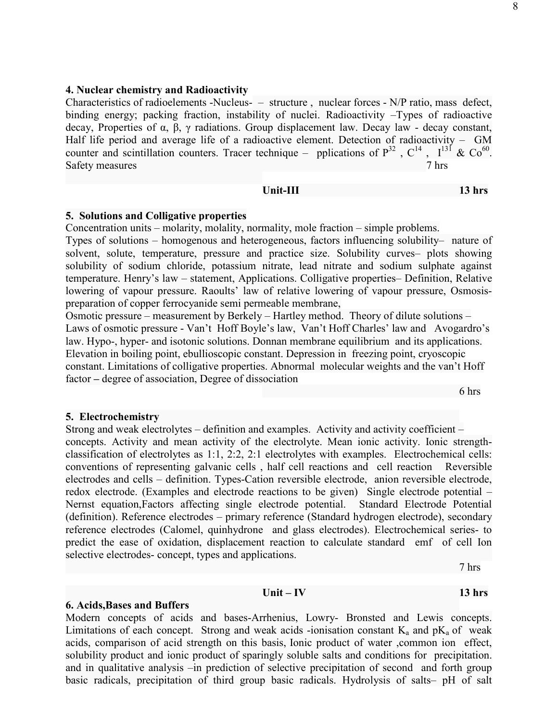#### **4. Nuclear chemistry and Radioactivity**

Characteristics of radioelements -Nucleus- – structure , nuclear forces - N/P ratio, mass defect, binding energy; packing fraction, instability of nuclei. Radioactivity –Types of radioactive decay, Properties of  $\alpha$ ,  $\beta$ ,  $\gamma$  radiations. Group displacement law. Decay law - decay constant, Half life period and average life of a radioactive element. Detection of radioactivity – GM counter and scintillation counters. Tracer technique – pplications of  $P^{32}$ ,  $C^{14}$ ,  $I^{13}$  &  $Co^{60}$ . Safety measures 7 hrs

#### **Unit-III** 13 hrs

#### **5. Solutions and Colligative properties**

Concentration units – molarity, molality, normality, mole fraction – simple problems.

Types of solutions – homogenous and heterogeneous, factors influencing solubility– nature of solvent, solute, temperature, pressure and practice size. Solubility curves– plots showing solubility of sodium chloride, potassium nitrate, lead nitrate and sodium sulphate against temperature. Henry's law – statement, Applications. Colligative properties– Definition, Relative lowering of vapour pressure. Raoults' law of relative lowering of vapour pressure, Osmosispreparation of copper ferrocyanide semi permeable membrane,

Osmotic pressure – measurement by Berkely – Hartley method. Theory of dilute solutions – Laws of osmotic pressure - Van't Hoff Boyle's law, Van't Hoff Charles' law and Avogardro's law. Hypo-, hyper- and isotonic solutions. Donnan membrane equilibrium and its applications. Elevation in boiling point, ebullioscopic constant. Depression in freezing point, cryoscopic constant. Limitations of colligative properties. Abnormal molecular weights and the van't Hoff factor **–** degree of association, Degree of dissociation

6 hrs

#### **5. Electrochemistry**

Strong and weak electrolytes – definition and examples. Activity and activity coefficient – concepts. Activity and mean activity of the electrolyte. Mean ionic activity. Ionic strengthclassification of electrolytes as 1:1, 2:2, 2:1 electrolytes with examples. Electrochemical cells: conventions of representing galvanic cells , half cell reactions and cell reaction Reversible electrodes and cells – definition. Types-Cation reversible electrode, anion reversible electrode, redox electrode. (Examples and electrode reactions to be given) Single electrode potential – Nernst equation,Factors affecting single electrode potential. Standard Electrode Potential (definition). Reference electrodes – primary reference (Standard hydrogen electrode), secondary reference electrodes (Calomel, quinhydrone and glass electrodes). Electrochemical series- to predict the ease of oxidation, displacement reaction to calculate standard emf of cell Ion selective electrodes- concept, types and applications.

7 hrs

#### **Unit – IV 13 hrs**

#### **6. Acids,Bases and Buffers**

Modern concepts of acids and bases-Arrhenius, Lowry- Bronsted and Lewis concepts. Limitations of each concept. Strong and weak acids -ionisation constant  $K_a$  and  $pK_a$  of weak acids, comparison of acid strength on this basis, Ionic product of water ,common ion effect, solubility product and ionic product of sparingly soluble salts and conditions for precipitation. and in qualitative analysis –in prediction of selective precipitation of second and forth group basic radicals, precipitation of third group basic radicals. Hydrolysis of salts– pH of salt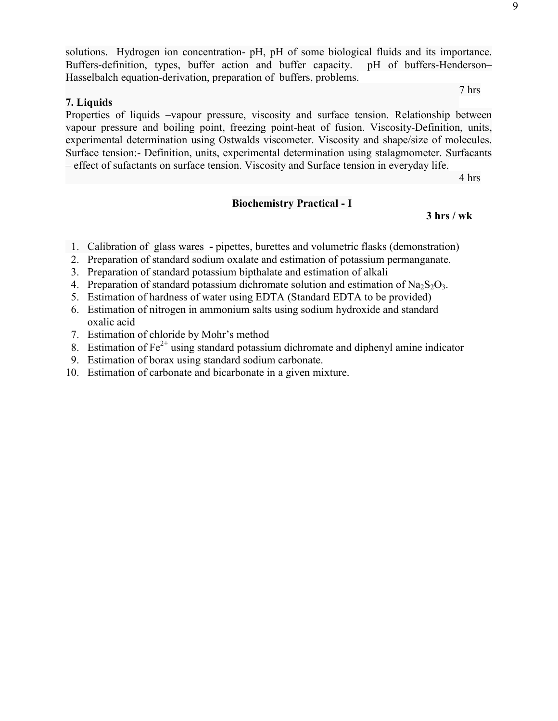solutions. Hydrogen ion concentration- pH, pH of some biological fluids and its importance. Buffers-definition, types, buffer action and buffer capacity. pH of buffers-Henderson– Hasselbalch equation-derivation, preparation of buffers, problems.

7 hrs

# **7. Liquids**

Properties of liquids –vapour pressure, viscosity and surface tension. Relationship between vapour pressure and boiling point, freezing point-heat of fusion. Viscosity-Definition, units, experimental determination using Ostwalds viscometer. Viscosity and shape/size of molecules. Surface tension:- Definition, units, experimental determination using stalagmometer. Surfacants – effect of sufactants on surface tension. Viscosity and Surface tension in everyday life.

4 hrs

### **Biochemistry Practical - I**

 **3 hrs / wk** 

- 1. Calibration of glass warespipettes, burettes and volumetric flasks (demonstration)
- 2. Preparation of standard sodium oxalate and estimation of potassium permanganate.
- 3. Preparation of standard potassium bipthalate and estimation of alkali
- 4. Preparation of standard potassium dichromate solution and estimation of Na<sub>2</sub>S<sub>2</sub>O<sub>3</sub>.
- 5. Estimation of hardness of water using EDTA (Standard EDTA to be provided)
- 6. Estimation of nitrogen in ammonium salts using sodium hydroxide and standard oxalic acid
- 7. Estimation of chloride by Mohr's method
- 8. Estimation of  $Fe<sup>2+</sup>$  using standard potassium dichromate and diphenyl amine indicator
- 9. Estimation of borax using standard sodium carbonate.
- 10. Estimation of carbonate and bicarbonate in a given mixture.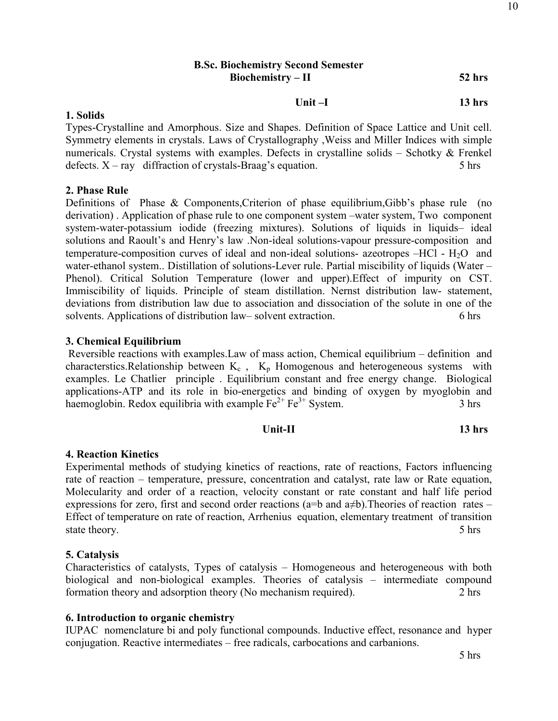# **B.Sc. Biochemistry Second Semester Biochemistry – II 52 hrs**

 **Unit –I 13 hrs** 

#### **1. Solids**

Types-Crystalline and Amorphous. Size and Shapes. Definition of Space Lattice and Unit cell. Symmetry elements in crystals. Laws of Crystallography ,Weiss and Miller Indices with simple numericals. Crystal systems with examples. Defects in crystalline solids – Schotky & Frenkel defects.  $X - ray$  diffraction of crystals-Braag's equation. 5 hrs

# **2. Phase Rule**

Definitions of Phase & Components, Criterion of phase equilibrium, Gibb's phase rule (no derivation) . Application of phase rule to one component system –water system, Two component system-water-potassium iodide (freezing mixtures). Solutions of liquids in liquids– ideal solutions and Raoult's and Henry's law .Non-ideal solutions-vapour pressure-composition and temperature-composition curves of ideal and non-ideal solutions- azeotropes  $-HCl$  -  $H<sub>2</sub>O$  and water-ethanol system.. Distillation of solutions-Lever rule. Partial miscibility of liquids (Water – Phenol). Critical Solution Temperature (lower and upper).Effect of impurity on CST. Immiscibility of liquids. Principle of steam distillation. Nernst distribution law- statement, deviations from distribution law due to association and dissociation of the solute in one of the solvents. Applications of distribution law– solvent extraction. 6 hrs

# **3. Chemical Equilibrium**

Reversible reactions with examples.Law of mass action, Chemical equilibrium – definition and characterstics. Relationship between  $K_c$ ,  $K_p$  Homogenous and heterogeneous systems with examples. Le Chatlier principle . Equilibrium constant and free energy change. Biological applications-ATP and its role in bio-energetics and binding of oxygen by myoglobin and haemoglobin. Redox equilibria with example  $Fe^{2+}Fe^{3+}$  System. 3 hrs

| $13$ hrs |
|----------|
|          |

# **4. Reaction Kinetics**

Experimental methods of studying kinetics of reactions, rate of reactions, Factors influencing rate of reaction – temperature, pressure, concentration and catalyst, rate law or Rate equation, Molecularity and order of a reaction, velocity constant or rate constant and half life period expressions for zero, first and second order reactions (a=b and a≠b).Theories of reaction rates – Effect of temperature on rate of reaction, Arrhenius equation, elementary treatment of transition state theory. **5** hrs

# **5. Catalysis**

Characteristics of catalysts, Types of catalysis – Homogeneous and heterogeneous with both biological and non-biological examples. Theories of catalysis – intermediate compound formation theory and adsorption theory (No mechanism required). 2 hrs

# **6. Introduction to organic chemistry**

IUPAC nomenclature bi and poly functional compounds. Inductive effect, resonance and hyper conjugation. Reactive intermediates – free radicals, carbocations and carbanions.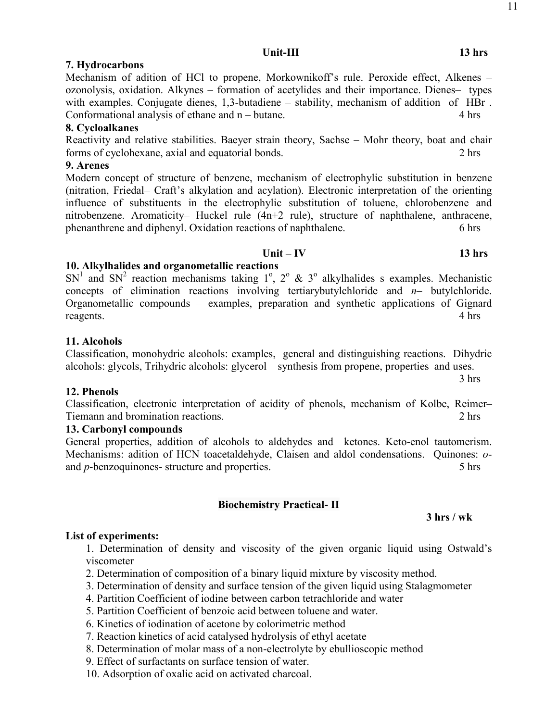# **7. Hydrocarbons**

Mechanism of adition of HCl to propene, Morkownikoff's rule. Peroxide effect, Alkenes – ozonolysis, oxidation. Alkynes – formation of acetylides and their importance. Dienes– types with examples. Conjugate dienes, 1,3-butadiene – stability, mechanism of addition of HBr. Conformational analysis of ethane and n – butane.4 hrs

# **8. Cycloalkanes**

Reactivity and relative stabilities. Baeyer strain theory, Sachse – Mohr theory, boat and chair forms of cyclohexane, axial and equatorial bonds. 2 hrs

# **9. Arenes**

Modern concept of structure of benzene, mechanism of electrophylic substitution in benzene (nitration, Friedal– Craft's alkylation and acylation). Electronic interpretation of the orienting influence of substituents in the electrophylic substitution of toluene, chlorobenzene and nitrobenzene. Aromaticity– Huckel rule (4n+2 rule), structure of naphthalene, anthracene, phenanthrene and diphenyl. Oxidation reactions of naphthalene.6 hrs

# **10. Alkylhalides and organometallic reactions**

 $SN<sup>1</sup>$  and  $SN<sup>2</sup>$  reaction mechanisms taking  $1^{\circ}$ ,  $2^{\circ}$  &  $3^{\circ}$  alkylhalides s examples. Mechanistic concepts of elimination reactions involving tertiarybutylchloride and *n*– butylchloride. Organometallic compounds – examples, preparation and synthetic applications of Gignard reagents.4 hrs

# **11. Alcohols**

# Classification, monohydric alcohols: examples, general and distinguishing reactions. Dihydric alcohols: glycols, Trihydric alcohols: glycerol – synthesis from propene, properties and uses.

# **12. Phenols**

Classification, electronic interpretation of acidity of phenols, mechanism of Kolbe, Reimer– Tiemann and bromination reactions.2 hrs

# **13. Carbonyl compounds**

General properties, addition of alcohols to aldehydes and ketones. Keto-enol tautomerism. Mechanisms: adition of HCN toacetaldehyde, Claisen and aldol condensations. Quinones: *o*and *p*-benzoquinones- structure and properties. 5 hrs

# **Biochemistry Practical- II**

# **List of experiments:**

1. Determination of density and viscosity of the given organic liquid using Ostwald's viscometer

- 2. Determination of composition of a binary liquid mixture by viscosity method.
- 3. Determination of density and surface tension of the given liquid using Stalagmometer
- 4. Partition Coefficient of iodine between carbon tetrachloride and water
- 5. Partition Coefficient of benzoic acid between toluene and water.
- 6. Kinetics of iodination of acetone by colorimetric method
- 7. Reaction kinetics of acid catalysed hydrolysis of ethyl acetate
- 8. Determination of molar mass of a non-electrolyte by ebullioscopic method
- 9. Effect of surfactants on surface tension of water.

10. Adsorption of oxalic acid on activated charcoal.

 **Unit – IV 13 hrs** 

3 hrs

 **3 hrs / wk**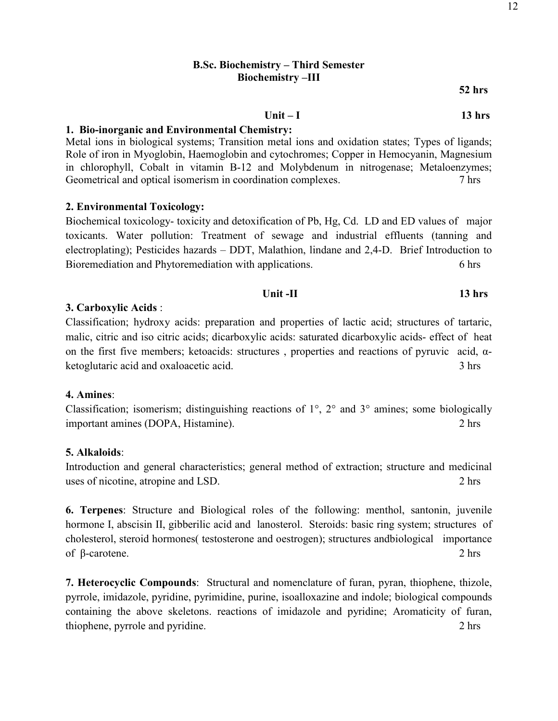# **B.Sc. Biochemistry – Third Semester Biochemistry –III**

**52 hrs** 

Unit – I 13 hrs

#### **1. Bio-inorganic and Environmental Chemistry:**

Metal ions in biological systems; Transition metal ions and oxidation states; Types of ligands; Role of iron in Myoglobin, Haemoglobin and cytochromes; Copper in Hemocyanin, Magnesium in chlorophyll, Cobalt in vitamin B-12 and Molybdenum in nitrogenase; Metaloenzymes; Geometrical and optical isomerism in coordination complexes. 7 hrs

### **2. Environmental Toxicology:**

Biochemical toxicology- toxicity and detoxification of Pb, Hg, Cd. LD and ED values of major toxicants. Water pollution: Treatment of sewage and industrial effluents (tanning and electroplating); Pesticides hazards – DDT, Malathion, lindane and 2,4-D. Brief Introduction to Bioremediation and Phytoremediation with applications. 6 hrs

#### *Unit -II* **13 hrs**

#### **3. Carboxylic Acids** :

Classification; hydroxy acids: preparation and properties of lactic acid; structures of tartaric, malic, citric and iso citric acids; dicarboxylic acids: saturated dicarboxylic acids- effect of heat on the first five members; ketoacids: structures, properties and reactions of pyruvic acid,  $\alpha$ ketoglutaric acid and oxaloacetic acid. 3 hrs

#### **4. Amines**:

Classification; isomerism; distinguishing reactions of 1°, 2° and 3° amines; some biologically important amines (DOPA, Histamine). 2 hrs

## **5. Alkaloids**:

Introduction and general characteristics; general method of extraction; structure and medicinal uses of nicotine, atropine and LSD. 2 hrs

**6. Terpenes**: Structure and Biological roles of the following: menthol, santonin, juvenile hormone I, abscisin II, gibberilic acid and lanosterol. Steroids: basic ring system; structures of cholesterol, steroid hormones( testosterone and oestrogen); structures andbiological importance of β-carotene. 2 hrs

**7. Heterocyclic Compounds**: Structural and nomenclature of furan, pyran, thiophene, thizole, pyrrole, imidazole, pyridine, pyrimidine, purine, isoalloxazine and indole; biological compounds containing the above skeletons. reactions of imidazole and pyridine; Aromaticity of furan, thiophene, pyrrole and pyridine. 2 hrs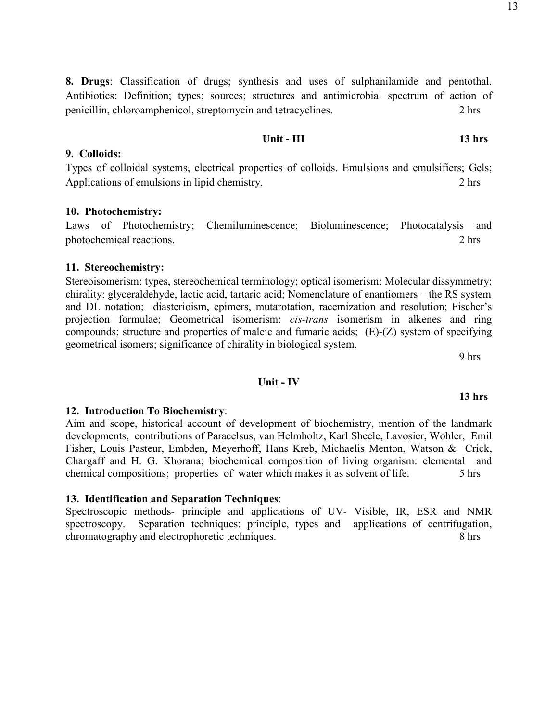13

**8. Drugs**: Classification of drugs; synthesis and uses of sulphanilamide and pentothal. Antibiotics: Definition; types; sources; structures and antimicrobial spectrum of action of penicillin, chloroamphenicol, streptomycin and tetracyclines. 2 hrs

**Unit - III** 13 hrs

Types of colloidal systems, electrical properties of colloids. Emulsions and emulsifiers; Gels; Applications of emulsions in lipid chemistry. 2 hrs

# **10. Photochemistry:**

**9. Colloids:** 

Laws of Photochemistry; Chemiluminescence; Bioluminescence; Photocatalysis and photochemical reactions. 2 hrs

# **11. Stereochemistry:**

Stereoisomerism: types, stereochemical terminology; optical isomerism: Molecular dissymmetry; chirality: glyceraldehyde, lactic acid, tartaric acid; Nomenclature of enantiomers – the RS system and DL notation; diasterioism, epimers, mutarotation, racemization and resolution; Fischer's projection formulae; Geometrical isomerism: *cis-trans* isomerism in alkenes and ring compounds; structure and properties of maleic and fumaric acids; (E)-(Z) system of specifying geometrical isomers; significance of chirality in biological system.

9 hrs

# **Unit - IV**

# **12. Introduction To Biochemistry**:

# Aim and scope, historical account of development of biochemistry, mention of the landmark

developments, contributions of Paracelsus, van Helmholtz, Karl Sheele, Lavosier, Wohler, Emil Fisher, Louis Pasteur, Embden, Meyerhoff, Hans Kreb, Michaelis Menton, Watson & Crick, Chargaff and H. G. Khorana; biochemical composition of living organism: elemental and chemical compositions; properties of water which makes it as solvent of life. 5 hrs

# **13. Identification and Separation Techniques**:

Spectroscopic methods- principle and applications of UV- Visible, IR, ESR and NMR spectroscopy. Separation techniques: principle, types and applications of centrifugation, chromatography and electrophoretic techniques. 8 hrs

### **13 hrs**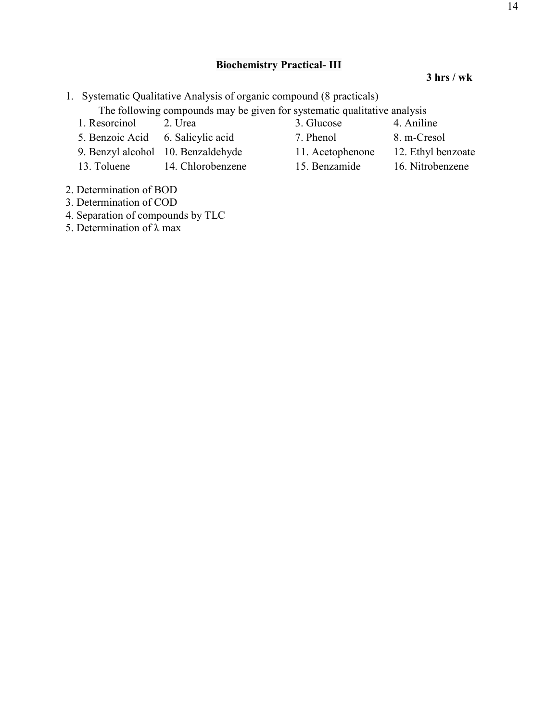# **Biochemistry Practical- III**

#### **3 hrs / wk**

1. Systematic Qualitative Analysis of organic compound (8 practicals)

The following compounds may be given for systematic qualitative analysis

- 
- 5. Benzoic Acid 6. Salicylic acid 7. Phenol 8. m-Cresol
- 9. Benzyl alcohol 10. Benzaldehyde 11. Acetophenone 12. Ethyl benzoate
- 13. Toluene 14. Chlorobenzene 15. Benzamide 16. Nitrobenzene
- 2. Determination of BOD
- 3. Determination of COD
- 4. Separation of compounds by TLC
- 5. Determination of λ max
- 1. Resorcinol 2. Urea 3. Glucose 4. Aniline
	-
	-
- 
- 
- 
- -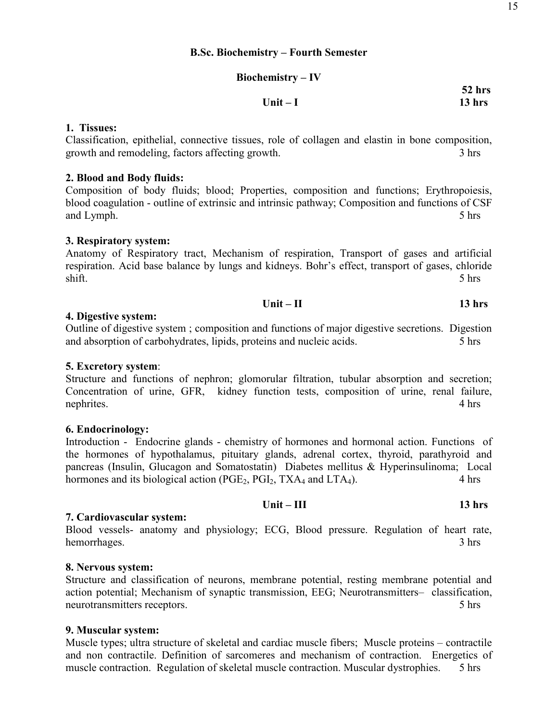### **Biochemistry – IV**

|           | ____               |
|-----------|--------------------|
| Unit $-I$ | $13$ hrs<br>$\sim$ |

### **1. Tissues:**

Classification, epithelial, connective tissues, role of collagen and elastin in bone composition, growth and remodeling, factors affecting growth. 3 hrs

#### **2. Blood and Body fluids:**

Composition of body fluids; blood; Properties, composition and functions; Erythropoiesis, blood coagulation - outline of extrinsic and intrinsic pathway; Composition and functions of CSF and Lymph. 5 hrs

#### **3. Respiratory system:**

Anatomy of Respiratory tract, Mechanism of respiration, Transport of gases and artificial respiration. Acid base balance by lungs and kidneys. Bohr's effect, transport of gases, chloride shift. 5 hrs

$$
Unit - II \t\t 13 hrs
$$

#### **4. Digestive system:**

Outline of digestive system ; composition and functions of major digestive secretions. Digestion and absorption of carbohydrates, lipids, proteins and nucleic acids.  $\frac{5 \text{ hrs}}{20}$ 

### **5. Excretory system**:

Structure and functions of nephron; glomorular filtration, tubular absorption and secretion; Concentration of urine, GFR, kidney function tests, composition of urine, renal failure, nephrites. 4 hrs

### **6. Endocrinology:**

Introduction - Endocrine glands - chemistry of hormones and hormonal action. Functions of the hormones of hypothalamus, pituitary glands, adrenal cortex, thyroid, parathyroid and pancreas (Insulin, Glucagon and Somatostatin) Diabetes mellitus & Hyperinsulinoma; Local hormones and its biological action  $(PGE_2, PGI_2, TXA_4$  and  $LTA_4$ ). 4 hrs

#### **Unit – III 13 hrs 7. Cardiovascular system:**

Blood vessels- anatomy and physiology; ECG, Blood pressure. Regulation of heart rate, hemorrhages. 3 hrs

### **8. Nervous system:**

Structure and classification of neurons, membrane potential, resting membrane potential and action potential; Mechanism of synaptic transmission, EEG; Neurotransmitters– classification, neurotransmitters receptors. 5 hrs

#### **9. Muscular system:**

Muscle types; ultra structure of skeletal and cardiac muscle fibers; Muscle proteins – contractile and non contractile. Definition of sarcomeres and mechanism of contraction. Energetics of muscle contraction. Regulation of skeletal muscle contraction. Muscular dystrophies. 5 hrs

 **52 hrs**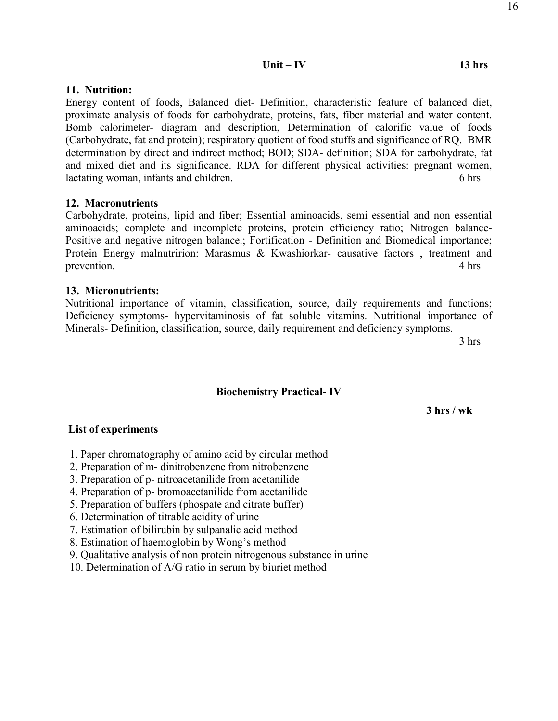# **11. Nutrition:**

Energy content of foods, Balanced diet- Definition, characteristic feature of balanced diet, proximate analysis of foods for carbohydrate, proteins, fats, fiber material and water content. Bomb calorimeter- diagram and description, Determination of calorific value of foods (Carbohydrate, fat and protein); respiratory quotient of food stuffs and significance of RQ. BMR determination by direct and indirect method; BOD; SDA- definition; SDA for carbohydrate, fat and mixed diet and its significance. RDA for different physical activities: pregnant women, lactating woman, infants and children. **6** hrs

# **12. Macronutrients**

Carbohydrate, proteins, lipid and fiber; Essential aminoacids, semi essential and non essential aminoacids; complete and incomplete proteins, protein efficiency ratio; Nitrogen balance-Positive and negative nitrogen balance.; Fortification - Definition and Biomedical importance; Protein Energy malnutririon: Marasmus & Kwashiorkar- causative factors, treatment and prevention. 4 hrs

# **13. Micronutrients:**

Nutritional importance of vitamin, classification, source, daily requirements and functions; Deficiency symptoms- hypervitaminosis of fat soluble vitamins. Nutritional importance of Minerals- Definition, classification, source, daily requirement and deficiency symptoms.

3 hrs

# **Biochemistry Practical- IV**

 **3 hrs / wk** 

# **List of experiments**

- 1. Paper chromatography of amino acid by circular method
- 2. Preparation of m- dinitrobenzene from nitrobenzene
- 3. Preparation of p- nitroacetanilide from acetanilide
- 4. Preparation of p- bromoacetanilide from acetanilide
- 5. Preparation of buffers (phospate and citrate buffer)
- 6. Determination of titrable acidity of urine
- 7. Estimation of bilirubin by sulpanalic acid method
- 8. Estimation of haemoglobin by Wong's method
- 9. Qualitative analysis of non protein nitrogenous substance in urine
- 10. Determination of A/G ratio in serum by biuriet method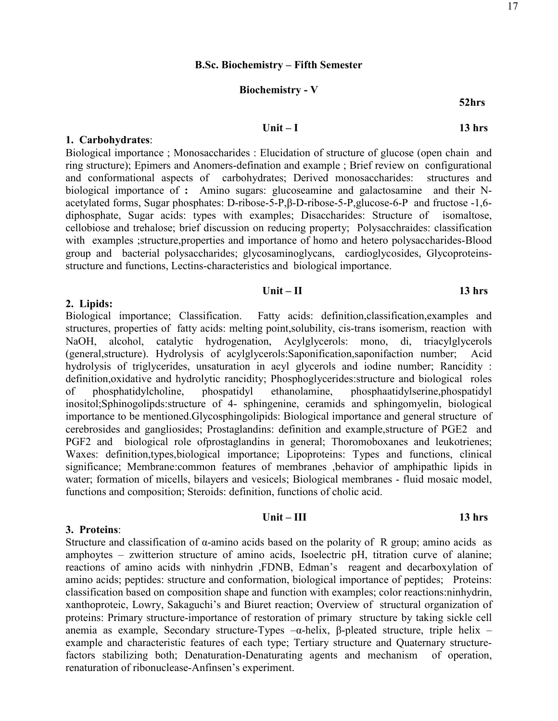#### **B.Sc. Biochemistry – Fifth Semester**

# **Biochemistry - V**

#### **52hrs**

#### **Unit – I 13 hrs**

### **1. Carbohydrates**:

Biological importance ; Monosaccharides : Elucidation of structure of glucose (open chain and ring structure); Epimers and Anomers-defination and example ; Brief review on configurational and conformational aspects of carbohydrates; Derived monosaccharides: structures and biological importance of **:** Amino sugars: glucoseamine and galactosamine and their Nacetylated forms, Sugar phosphates: D-ribose-5-P,β-D-ribose-5-P,glucose-6-P and fructose -1,6 diphosphate, Sugar acids: types with examples; Disaccharides: Structure of isomaltose, cellobiose and trehalose; brief discussion on reducing property; Polysacchraides: classification with examples ;structure,properties and importance of homo and hetero polysaccharides-Blood group and bacterial polysaccharides; glycosaminoglycans, cardioglycosides, Glycoproteinsstructure and functions, Lectins-characteristics and biological importance.

#### **Unit – II 13 hrs**

#### **2. Lipids:**

**3. Proteins**:

Biological importance; Classification. Fatty acids: definition,classification,examples and structures, properties of fatty acids: melting point,solubility, cis-trans isomerism, reaction with NaOH, alcohol, catalytic hydrogenation, Acylglycerols: mono, di, triacylglycerols (general,structure). Hydrolysis of acylglycerols:Saponification,saponifaction number; Acid hydrolysis of triglycerides, unsaturation in acyl glycerols and iodine number; Rancidity : definition, oxidative and hydrolytic rancidity; Phosphoglycerides: structure and biological roles<br>of phosphatidylcholine, phospatidyl ethanolamine, phosphaatidylserine, phospatidyl of phosphatidylcholine, phospatidyl ethanolamine, phosphaatidylserine,phospatidyl inositol;Sphinogolipds:structure of 4- sphingenine, ceramids and sphingomyelin, biological importance to be mentioned.Glycosphingolipids: Biological importance and general structure of cerebrosides and gangliosides; Prostaglandins: definition and example,structure of PGE2 and PGF2 and biological role ofprostaglandins in general; Thoromoboxanes and leukotrienes; Waxes: definition,types,biological importance; Lipoproteins: Types and functions, clinical significance; Membrane:common features of membranes ,behavior of amphipathic lipids in water; formation of micells, bilayers and vesicels; Biological membranes - fluid mosaic model, functions and composition; Steroids: definition, functions of cholic acid.

# *Unit – III* **13 hrs**

Structure and classification of  $\alpha$ -amino acids based on the polarity of R group; amino acids as amphoytes – zwitterion structure of amino acids, Isoelectric pH, titration curve of alanine; reactions of amino acids with ninhydrin ,FDNB, Edman's reagent and decarboxylation of amino acids; peptides: structure and conformation, biological importance of peptides; Proteins: classification based on composition shape and function with examples; color reactions:ninhydrin, xanthoproteic, Lowry, Sakaguchi's and Biuret reaction; Overview of structural organization of proteins: Primary structure-importance of restoration of primary structure by taking sickle cell anemia as example, Secondary structure-Types –α-helix, β-pleated structure, triple helix – example and characteristic features of each type; Tertiary structure and Quaternary structurefactors stabilizing both; Denaturation-Denaturating agents and mechanism of operation, renaturation of ribonuclease-Anfinsen's experiment.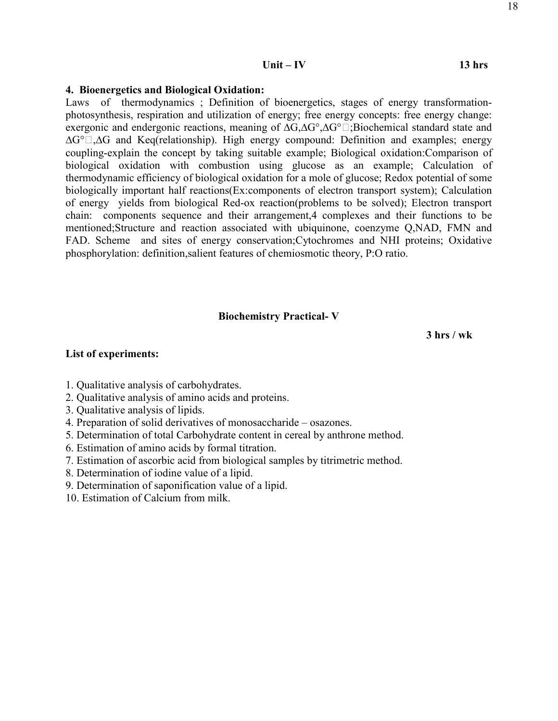# **Unit – IV 13 hrs**

# **4. Bioenergetics and Biological Oxidation:**

Laws of thermodynamics ; Definition of bioenergetics, stages of energy transformationphotosynthesis, respiration and utilization of energy; free energy concepts: free energy change: exergonic and endergonic reactions, meaning of  $\Delta G, \Delta G^{\circ}, \Delta G^{\circ}$  is Biochemical standard state and  $\Delta G^{\circ}$  .  $\Delta G$  and Keq(relationship). High energy compound: Definition and examples; energy coupling-explain the concept by taking suitable example; Biological oxidation:Comparison of biological oxidation with combustion using glucose as an example; Calculation of thermodynamic efficiency of biological oxidation for a mole of glucose; Redox potential of some biologically important half reactions(Ex:components of electron transport system); Calculation of energy yields from biological Red-ox reaction(problems to be solved); Electron transport chain: components sequence and their arrangement,4 complexes and their functions to be mentioned;Structure and reaction associated with ubiquinone, coenzyme Q,NAD, FMN and FAD. Scheme and sites of energy conservation;Cytochromes and NHI proteins; Oxidative phosphorylation: definition,salient features of chemiosmotic theory, P:O ratio.

# **Biochemistry Practical- V**

 **3 hrs / wk** 

# **List of experiments:**

- 1. Qualitative analysis of carbohydrates.
- 2. Qualitative analysis of amino acids and proteins.
- 3. Qualitative analysis of lipids.
- 4. Preparation of solid derivatives of monosaccharide osazones.
- 5. Determination of total Carbohydrate content in cereal by anthrone method.
- 6. Estimation of amino acids by formal titration.
- 7. Estimation of ascorbic acid from biological samples by titrimetric method.
- 8. Determination of iodine value of a lipid.
- 9. Determination of saponification value of a lipid.
- 10. Estimation of Calcium from milk.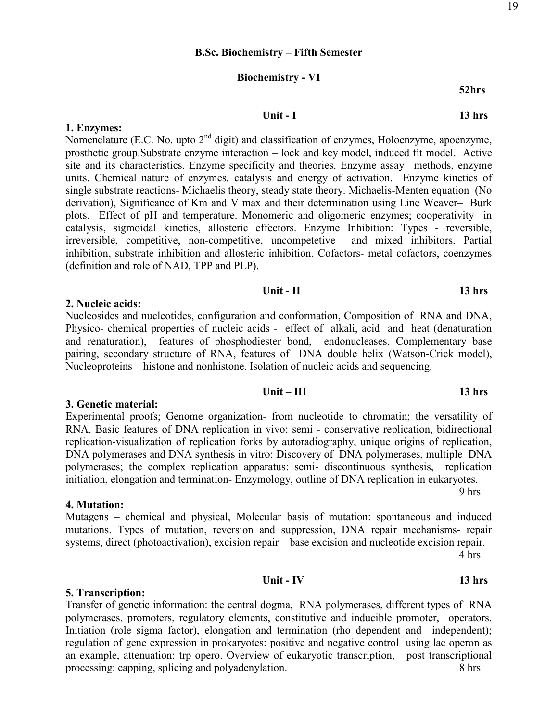#### **B.Sc. Biochemistry – Fifth Semester**

# **Biochemistry - VI**

*Unit - I* **13 hrs** 

**52hrs** 

#### **1. Enzymes:**

Nomenclature (E.C. No. upto 2<sup>nd</sup> digit) and classification of enzymes, Holoenzyme, apoenzyme, prosthetic group.Substrate enzyme interaction – lock and key model, induced fit model. Active site and its characteristics. Enzyme specificity and theories. Enzyme assay– methods, enzyme units. Chemical nature of enzymes, catalysis and energy of activation. Enzyme kinetics of single substrate reactions- Michaelis theory, steady state theory. Michaelis-Menten equation (No derivation), Significance of Km and V max and their determination using Line Weaver– Burk plots. Effect of pH and temperature. Monomeric and oligomeric enzymes; cooperativity in catalysis, sigmoidal kinetics, allosteric effectors. Enzyme Inhibition: Types - reversible, irreversible, competitive, non-competitive, uncompetetive and mixed inhibitors. Partial inhibition, substrate inhibition and allosteric inhibition. Cofactors- metal cofactors, coenzymes (definition and role of NAD, TPP and PLP).

## *Unit - II* **13 hrs**

### **2. Nucleic acids:**

Nucleosides and nucleotides, configuration and conformation, Composition of RNA and DNA, Physico- chemical properties of nucleic acids - effect of alkali, acid and heat (denaturation and renaturation), features of phosphodiester bond, endonucleases. Complementary base pairing, secondary structure of RNA, features of DNA double helix (Watson-Crick model), Nucleoproteins – histone and nonhistone. Isolation of nucleic acids and sequencing.

#### **3. Genetic material:**

Experimental proofs; Genome organization- from nucleotide to chromatin; the versatility of RNA. Basic features of DNA replication in vivo: semi - conservative replication, bidirectional replication-visualization of replication forks by autoradiography, unique origins of replication, DNA polymerases and DNA synthesis in vitro: Discovery of DNA polymerases, multiple DNA polymerases; the complex replication apparatus: semi- discontinuous synthesis, replication initiation, elongation and termination- Enzymology, outline of DNA replication in eukaryotes.

**4. Mutation:** 

# Mutagens – chemical and physical, Molecular basis of mutation: spontaneous and induced mutations. Types of mutation, reversion and suppression, DNA repair mechanisms- repair systems, direct (photoactivation), excision repair – base excision and nucleotide excision repair. 4 hrs

9 hrs

#### **5. Transcription:**

Transfer of genetic information: the central dogma, RNA polymerases, different types of RNA polymerases, promoters, regulatory elements, constitutive and inducible promoter, operators. Initiation (role sigma factor), elongation and termination (rho dependent and independent); regulation of gene expression in prokaryotes: positive and negative control using lac operon as an example, attenuation: trp opero. Overview of eukaryotic transcription, post transcriptional processing: capping, splicing and polyadenylation. 8 hrs

# *Unit – III* **13 hrs**

# **Unit - IV 13 hrs**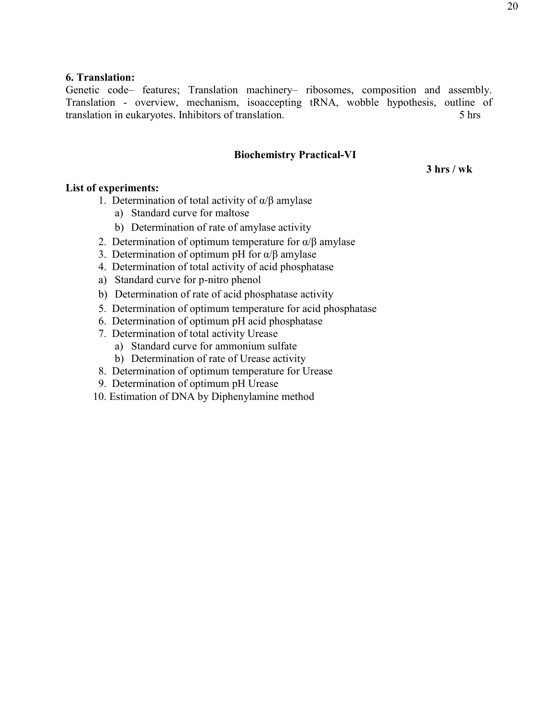# **6. Translation:**

Genetic code– features; Translation machinery– ribosomes, composition and assembly. Translation - overview, mechanism, isoaccepting tRNA, wobble hypothesis, outline of translation in eukaryotes. Inhibitors of translation. 5 hrs

# **Biochemistry Practical-VI**

 **3 hrs / wk** 

# **List of experiments:**

- 1. Determination of total activity of  $\alpha/\beta$  amylase
	- a) Standard curve for maltose
	- b) Determination of rate of amylase activity
- 2. Determination of optimum temperature for  $\alpha/\beta$  amylase
- 3. Determination of optimum pH for  $\alpha/\beta$  amylase
- 4. Determination of total activity of acid phosphatase
- a) Standard curve for p-nitro phenol
- b) Determination of rate of acid phosphatase activity
- 5. Determination of optimum temperature for acid phosphatase
- 6. Determination of optimum pH acid phosphatase
- 7. Determination of total activity Urease
	- a) Standard curve for ammonium sulfate
	- b) Determination of rate of Urease activity
- 8. Determination of optimum temperature for Urease
- 9. Determination of optimum pH Urease
- 10. Estimation of DNA by Diphenylamine method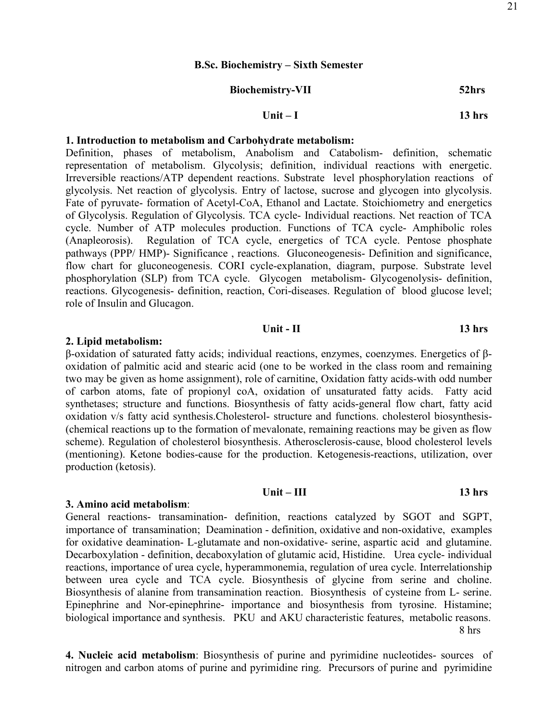#### **B.Sc. Biochemistry – Sixth Semester**

| <b>Biochemistry-VII</b> | 52hrs |
|-------------------------|-------|
|-------------------------|-------|

# **Unit – I 13 hrs**

# **1. Introduction to metabolism and Carbohydrate metabolism:**

Definition, phases of metabolism, Anabolism and Catabolism- definition, schematic representation of metabolism. Glycolysis; definition, individual reactions with energetic. Irreversible reactions/ATP dependent reactions. Substrate level phosphorylation reactions of glycolysis. Net reaction of glycolysis. Entry of lactose, sucrose and glycogen into glycolysis. Fate of pyruvate- formation of Acetyl-CoA, Ethanol and Lactate. Stoichiometry and energetics of Glycolysis. Regulation of Glycolysis. TCA cycle- Individual reactions. Net reaction of TCA cycle. Number of ATP molecules production. Functions of TCA cycle- Amphibolic roles (Anapleorosis). Regulation of TCA cycle, energetics of TCA cycle. Pentose phosphate pathways (PPP/ HMP)- Significance , reactions. Gluconeogenesis- Definition and significance, flow chart for gluconeogenesis. CORI cycle-explanation, diagram, purpose. Substrate level phosphorylation (SLP) from TCA cycle. Glycogen metabolism- Glycogenolysis- definition, reactions. Glycogenesis- definition, reaction, Cori-diseases. Regulation of blood glucose level; role of Insulin and Glucagon.

#### *Unit - II* **13 hrs**

#### **2. Lipid metabolism:**

β-oxidation of saturated fatty acids; individual reactions, enzymes, coenzymes. Energetics of βoxidation of palmitic acid and stearic acid (one to be worked in the class room and remaining two may be given as home assignment), role of carnitine, Oxidation fatty acids-with odd number of carbon atoms, fate of propionyl coA, oxidation of unsaturated fatty acids. Fatty acid synthetases; structure and functions. Biosynthesis of fatty acids-general flow chart, fatty acid oxidation v/s fatty acid synthesis.Cholesterol- structure and functions. cholesterol biosynthesis- (chemical reactions up to the formation of mevalonate, remaining reactions may be given as flow scheme). Regulation of cholesterol biosynthesis. Atherosclerosis-cause, blood cholesterol levels (mentioning). Ketone bodies-cause for the production. Ketogenesis-reactions, utilization, over production (ketosis).

#### **Unit – III 13 hrs**

#### **3. Amino acid metabolism**:

General reactions- transamination- definition, reactions catalyzed by SGOT and SGPT, importance of transamination; Deamination - definition, oxidative and non-oxidative, examples for oxidative deamination- L-glutamate and non-oxidative- serine, aspartic acid and glutamine. Decarboxylation - definition, decaboxylation of glutamic acid, Histidine. Urea cycle- individual reactions, importance of urea cycle, hyperammonemia, regulation of urea cycle. Interrelationship between urea cycle and TCA cycle. Biosynthesis of glycine from serine and choline. Biosynthesis of alanine from transamination reaction. Biosynthesis of cysteine from L- serine. Epinephrine and Nor-epinephrine- importance and biosynthesis from tyrosine. Histamine; biological importance and synthesis. PKU and AKU characteristic features, metabolic reasons. 8 hrs

**4. Nucleic acid metabolism**: Biosynthesis of purine and pyrimidine nucleotides- sources of nitrogen and carbon atoms of purine and pyrimidine ring. Precursors of purine and pyrimidine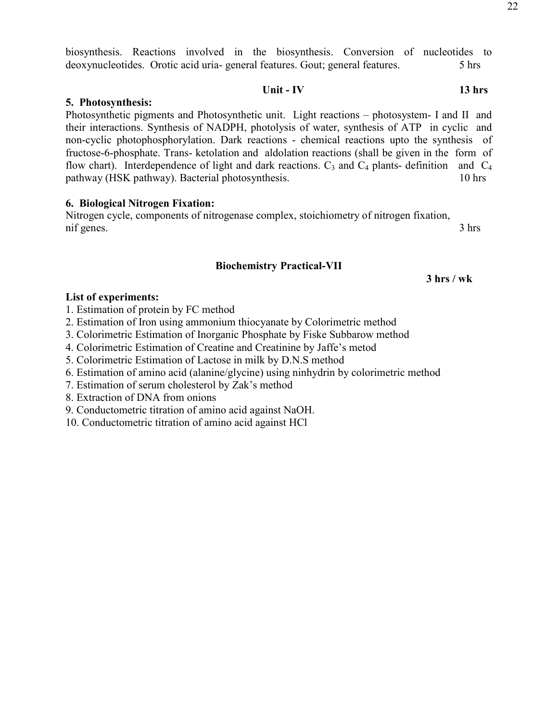biosynthesis. Reactions involved in the biosynthesis. Conversion of nucleotides to deoxynucleotides. Orotic acid uria- general features. Gout; general features. 5 hrs

# **Unit - IV 13 hrs**

# **5. Photosynthesis:**

Photosynthetic pigments and Photosynthetic unit. Light reactions – photosystem- I and II and their interactions. Synthesis of NADPH, photolysis of water, synthesis of ATP in cyclic and non-cyclic photophosphorylation. Dark reactions - chemical reactions upto the synthesis of fructose-6-phosphate. Trans- ketolation and aldolation reactions (shall be given in the form of flow chart). Interdependence of light and dark reactions.  $C_3$  and  $C_4$  plants- definition and  $C_4$ pathway (HSK pathway). Bacterial photosynthesis. 10 hrs

# **6. Biological Nitrogen Fixation:**

Nitrogen cycle, components of nitrogenase complex, stoichiometry of nitrogen fixation, nif genes. 3 hrs

# **Biochemistry Practical-VII**

 **3 hrs / wk** 

# **List of experiments:**

1. Estimation of protein by FC method

- 2. Estimation of Iron using ammonium thiocyanate by Colorimetric method
- 3. Colorimetric Estimation of Inorganic Phosphate by Fiske Subbarow method
- 4. Colorimetric Estimation of Creatine and Creatinine by Jaffe's metod
- 5. Colorimetric Estimation of Lactose in milk by D.N.S method
- 6. Estimation of amino acid (alanine/glycine) using ninhydrin by colorimetric method
- 7. Estimation of serum cholesterol by Zak's method
- 8. Extraction of DNA from onions
- 9. Conductometric titration of amino acid against NaOH.
- 10. Conductometric titration of amino acid against HCl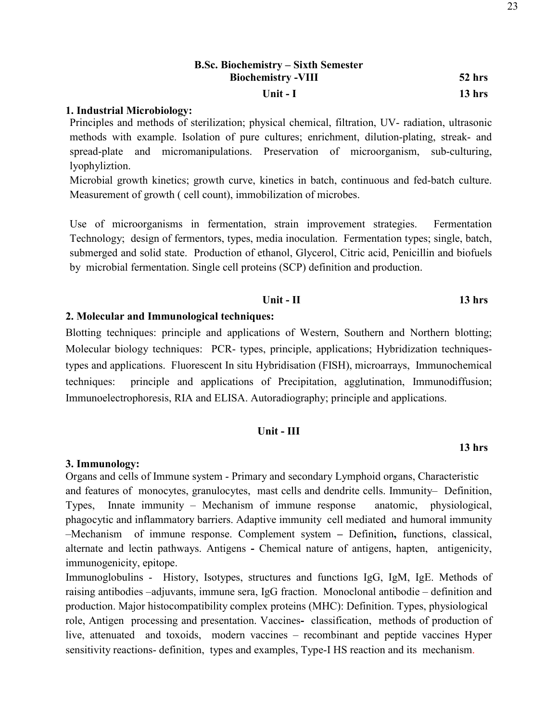# **1. Industrial Microbiology:**

Principles and methods of sterilization; physical chemical, filtration, UV- radiation, ultrasonic methods with example. Isolation of pure cultures; enrichment, dilution-plating, streak- and spread-plate and micromanipulations. Preservation of microorganism, sub-culturing, lyophyliztion.

Microbial growth kinetics; growth curve, kinetics in batch, continuous and fed-batch culture. Measurement of growth ( cell count), immobilization of microbes.

Use of microorganisms in fermentation, strain improvement strategies. Fermentation Technology; design of fermentors, types, media inoculation. Fermentation types; single, batch, submerged and solid state. Production of ethanol, Glycerol, Citric acid, Penicillin and biofuels by microbial fermentation. Single cell proteins (SCP) definition and production.

# *Unit - II* **13 hrs**

# **2. Molecular and Immunological techniques:**

Blotting techniques: principle and applications of Western, Southern and Northern blotting; Molecular biology techniques: PCR- types, principle, applications; Hybridization techniquestypes and applications. Fluorescent In situ Hybridisation (FISH), microarrays, Immunochemical techniques: principle and applications of Precipitation, agglutination, Immunodiffusion; Immunoelectrophoresis, RIA and ELISA. Autoradiography; principle and applications.

#### **Unit - III**

#### **3. Immunology:**

Organs and cells of Immune system - Primary and secondary Lymphoid organs, Characteristic and features of monocytes, granulocytes, mast cells and dendrite cells. Immunity– Definition, Types, Innate immunity – Mechanism of immune response anatomic, physiological, phagocytic and inflammatory barriers. Adaptive immunity cell mediated and humoral immunity –Mechanism of immune response. Complement system **–** Definition**,** functions, classical, alternate and lectin pathways. Antigens **-** Chemical nature of antigens, hapten, antigenicity, immunogenicity, epitope.

Immunoglobulins - History, Isotypes, structures and functions IgG, IgM, IgE. Methods of raising antibodies –adjuvants, immune sera, IgG fraction. Monoclonal antibodie – definition and production. Major histocompatibility complex proteins (MHC): Definition. Types, physiological role, Antigen processing and presentation. Vaccines**-** classification, methods of production of live, attenuated and toxoids, modern vaccines – recombinant and peptide vaccines Hyper sensitivity reactions- definition, types and examples, Type-I HS reaction and its mechanism.

#### **13 hrs**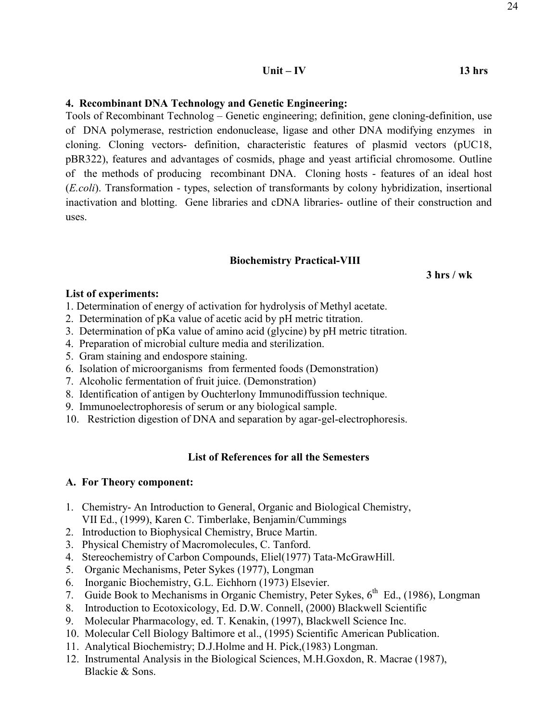# **4. Recombinant DNA Technology and Genetic Engineering:**

Tools of Recombinant Technolog – Genetic engineering; definition, gene cloning-definition, use of DNA polymerase, restriction endonuclease, ligase and other DNA modifying enzymes in cloning. Cloning vectors- definition, characteristic features of plasmid vectors (pUC18, pBR322), features and advantages of cosmids, phage and yeast artificial chromosome. Outline of the methods of producing recombinant DNA. Cloning hosts - features of an ideal host (*E.coli*). Transformation - types, selection of transformants by colony hybridization, insertional inactivation and blotting. Gene libraries and cDNA libraries- outline of their construction and uses.

### **Biochemistry Practical-VIII**

 **3 hrs / wk** 

#### **List of experiments:**

- 1. Determination of energy of activation for hydrolysis of Methyl acetate.
- 2. Determination of pKa value of acetic acid by pH metric titration.
- 3. Determination of pKa value of amino acid (glycine) by pH metric titration.
- 4. Preparation of microbial culture media and sterilization.
- 5. Gram staining and endospore staining.
- 6. Isolation of microorganisms from fermented foods (Demonstration)
- 7. Alcoholic fermentation of fruit juice. (Demonstration)
- 8. Identification of antigen by Ouchterlony Immunodiffussion technique.
- 9. Immunoelectrophoresis of serum or any biological sample.
- 10. Restriction digestion of DNA and separation by agar-gel-electrophoresis.

# **List of References for all the Semesters**

# **A. For Theory component:**

- 1. Chemistry- An Introduction to General, Organic and Biological Chemistry, VII Ed., (1999), Karen C. Timberlake, Benjamin/Cummings
- 2. Introduction to Biophysical Chemistry, Bruce Martin.
- 3. Physical Chemistry of Macromolecules, C. Tanford.
- 4. Stereochemistry of Carbon Compounds, Eliel(1977) Tata-McGrawHill.
- 5. Organic Mechanisms, Peter Sykes (1977), Longman
- 6. Inorganic Biochemistry, G.L. Eichhorn (1973) Elsevier.
- 7. Guide Book to Mechanisms in Organic Chemistry, Peter Sykes, 6<sup>th</sup> Ed., (1986), Longman
- 8. Introduction to Ecotoxicology, Ed. D.W. Connell, (2000) Blackwell Scientific
- 9. Molecular Pharmacology, ed. T. Kenakin, (1997), Blackwell Science Inc.
- 10. Molecular Cell Biology Baltimore et al., (1995) Scientific American Publication.
- 11. Analytical Biochemistry; D.J.Holme and H. Pick,(1983) Longman.
- 12. Instrumental Analysis in the Biological Sciences, M.H.Goxdon, R. Macrae (1987), Blackie & Sons.